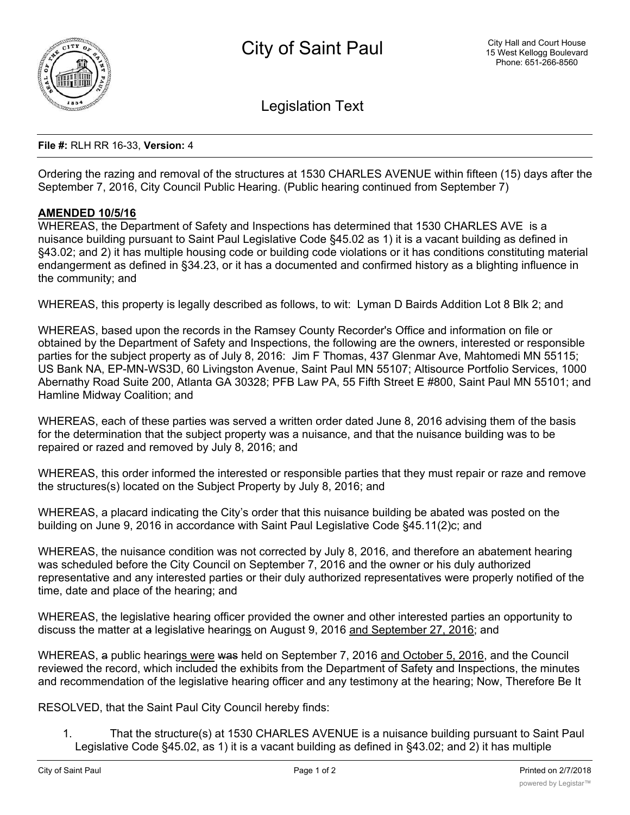

Legislation Text

## **File #:** RLH RR 16-33, **Version:** 4

Ordering the razing and removal of the structures at 1530 CHARLES AVENUE within fifteen (15) days after the September 7, 2016, City Council Public Hearing. (Public hearing continued from September 7)

## **AMENDED 10/5/16**

WHEREAS, the Department of Safety and Inspections has determined that 1530 CHARLES AVE is a nuisance building pursuant to Saint Paul Legislative Code §45.02 as 1) it is a vacant building as defined in §43.02; and 2) it has multiple housing code or building code violations or it has conditions constituting material endangerment as defined in §34.23, or it has a documented and confirmed history as a blighting influence in the community; and

WHEREAS, this property is legally described as follows, to wit: Lyman D Bairds Addition Lot 8 Blk 2; and

WHEREAS, based upon the records in the Ramsey County Recorder's Office and information on file or obtained by the Department of Safety and Inspections, the following are the owners, interested or responsible parties for the subject property as of July 8, 2016: Jim F Thomas, 437 Glenmar Ave, Mahtomedi MN 55115; US Bank NA, EP-MN-WS3D, 60 Livingston Avenue, Saint Paul MN 55107; Altisource Portfolio Services, 1000 Abernathy Road Suite 200, Atlanta GA 30328; PFB Law PA, 55 Fifth Street E #800, Saint Paul MN 55101; and Hamline Midway Coalition; and

WHEREAS, each of these parties was served a written order dated June 8, 2016 advising them of the basis for the determination that the subject property was a nuisance, and that the nuisance building was to be repaired or razed and removed by July 8, 2016; and

WHEREAS, this order informed the interested or responsible parties that they must repair or raze and remove the structures(s) located on the Subject Property by July 8, 2016; and

WHEREAS, a placard indicating the City's order that this nuisance building be abated was posted on the building on June 9, 2016 in accordance with Saint Paul Legislative Code §45.11(2)c; and

WHEREAS, the nuisance condition was not corrected by July 8, 2016, and therefore an abatement hearing was scheduled before the City Council on September 7, 2016 and the owner or his duly authorized representative and any interested parties or their duly authorized representatives were properly notified of the time, date and place of the hearing; and

WHEREAS, the legislative hearing officer provided the owner and other interested parties an opportunity to discuss the matter at a legislative hearings on August 9, 2016 and September 27, 2016; and

WHEREAS, a public hearings were was held on September 7, 2016 and October 5, 2016, and the Council reviewed the record, which included the exhibits from the Department of Safety and Inspections, the minutes and recommendation of the legislative hearing officer and any testimony at the hearing; Now, Therefore Be It

RESOLVED, that the Saint Paul City Council hereby finds:

1. That the structure(s) at 1530 CHARLES AVENUE is a nuisance building pursuant to Saint Paul Legislative Code §45.02, as 1) it is a vacant building as defined in §43.02; and 2) it has multiple